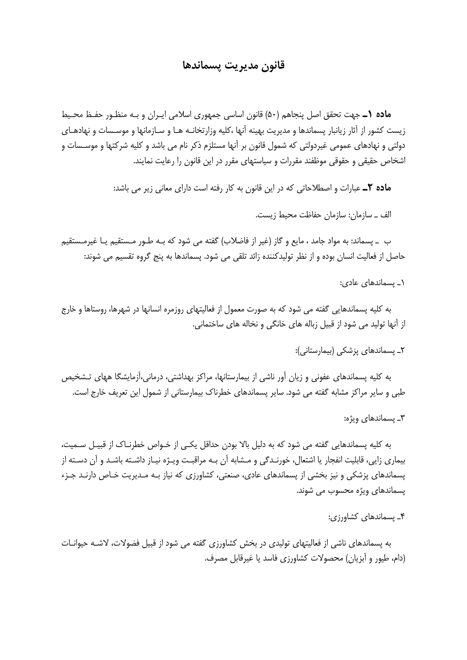## قانون مديريت يسماندها

م**اده (ــ** جهت تحقق اصل ينجاهم (۵۰) قانون اساسي جمهوري اسلامي ايـران و بـه منظـور حفـظ محـيط زیست کشور از آثار زیانبار پسماندها و مدیریت بهینه آنها ،کلیه وزارتخانـه هـا و سـازمانها و موسـسات و نهادهـای دولتی و نهادهای عمومی غیردولتی که شمول قانون بر آنها مستلزم ذکر نام می باشد و کلیه شرکتها و موسـسات و اشخاص حقیقی و حقوقی موظفند مقررات و سیاستهای مقرر در این قانون را رعایت نمایند.

ماده ٢ـ عبارات و اصطلاحاتي كه در اين قانون به كار رفته است داراي معاني زير مي باشد:

الف \_ سازمان: سازمان حفاظت محيط زيست.

ب \_ پسماند: به مواد جامد ، مایع و گاز (غیر از فاضلاب) گفته می شود که بـه طـور مـستقیم یـا غیرمـستقیم حاصل از فعالیت انسان بوده و از نظر تولیدکننده زائد تلقی می شود. پسماندها به پنج گروه تقسیم می شوند:

۱ـ بسماندهای عادی:

به کلیه پسماندهایی گفته می شود که به صورت معمول از فعالیتهای روزمره انسانها در شهرها، روستاها و خارج از آنها تولید می شود از قبیل زباله های خانگی و نخاله های ساختمانی.

٢۔ یسماندھای پزشکی (بیمارستانی):

به کلیه پسماندهای عفونی و زیان آور ناشی از بیمارستانها، مراکز بهداشتی، درمانی،آزمایشگا ههای تـشخیص طبی و سایر مراکز مشابه گفته می شود. سایر پسماندهای خطرناک بیمارستانی از شمول این تعریف خارج است.

٣\_ يسماندهاي ويژه:

به کلیه پسماندهایی گفته می شود که به دلیل بالا بودن حداقل یکـی از خـواص خطرنـاک از قبیـل سـمیت، بیماری زایی، قابلیت انفجار یا اشتعال، خورنـدگی و مـشابه آن بـه مراقبـت ویـژه نیـاز داشـته باشـد و آن دسـته از یسماندهای پزشکی و نیز بخشی از یسماندهای عادی، صنعتی، کشاورزی که نیاز بـه مـدیریت خـاص دارنـد جـزء پسماندهای ویژه محسوب می شوند.

۴\_ یسماندهای کشاورزی:

به پسماندهای ناشی از فعالیتهای تولیدی در بخش کشاورزی گفته می شود از قبیل فضولات، لاشـه حیوانـات (دام، طیور و آبزیان) محصولات کشاورزی فاسد یا غیرقابل مصرف.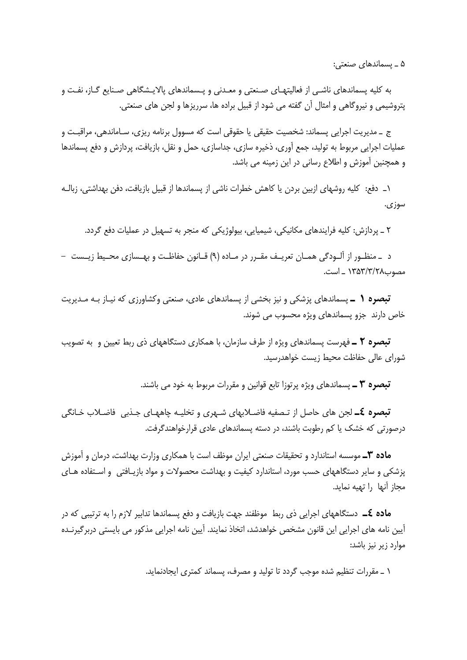۵ ـ يسماندهای صنعتی:

به کلیه پسماندهای ناشـی از فعالیتهـای صـنعتی و معـدنی و پـسماندهای پالایـشگاهی صـنایع گـاز، نفـت و پتروشیمی و نیروگاهی و امثال آن گفته می شود از قبیل براده ها، سرریزها و لجن های صنعتی.

ج \_ مديريت اجرايي پسماند: شخصيت حقيقي يا حقوقي است كه مسوول برنامه ريزي، سـاماندهي، مراقبـت و عملیات اجرایی مربوط به تولید، جمع اوری، ذخیره سازی، جداسازی، حمل و نقل، بازیافت، پردازش و دفع پسماندها و همچنین آموزش و اطلاع رسانی در این زمینه می باشد.

١\_ دفع: كليه روشهاى ازبين بردن يا كاهش خطرات ناشى از پسماندها از قبيل بازيافت، دفن بهداشتى، زبالـه سوزی.

۲ \_ پردازش: کلیه فرایندهای مکانیکی، شیمیایی، بیولوژیکی که منجر به تسهیل در عملیات دفع گردد.

د \_منظـور از آلــودگی همــان تعریــف مقــرر در مــاده (۹) قــانون حفاظــت و بهــسازی محــیط زیــست – مصوب١٣٥٣/٣/٢٨ \_ است.

تبصره ( \_ یسماندهای یزشکی و نیز بخشی از پسماندهای عادی، صنعتی وکشاورزی که نیـاز بـه مـدیریت خاص دارند جزو پسماندهای ویژه محسوب می شوند.

تبصره ٢ ـ فهرست يسماندهاى ويژه از طرف سازمان، با همكارى دستگاههاى ذى ربط تعيين و به تصويب شورای عالی حفاظت محیط زیست خواهدرسید.

**تبصره ٣ ــ** پسماندهای ویژه پرتوزا تابع قوانین و مقررات مربوط به خود می باشند.

**تبصره £ــ** لجن هاي حاصل از تـصفيه فاضـلابهاي شــهري و تخليـه چاههـاي جـذبي فاضـلاب خـانگي درصورتی که خشک یا کم رطوبت باشند، در دسته پسماندهای عادی قرارخواهندگرفت.

**ماده ٣ــ** موسسه استاندارد و تحقیقات صنعتی ایران موظف است با همکاری وزارت بهداشت، درمان و اَموزش یزشکی و سایر دستگاههای حسب مورد، استاندارد کیفیت و بهداشت محصولات و مواد بازیـافتی و اسـتفاده هـای مجاز آنها ً را تهيه نمايد.

**ماده £ــ** دستگاههای اجرایی ذی ربط موظفند جهت بازیافت و دفع پسماندها تدابیر لازم را به ترتیبی که در آيين نامه هاي اجرايي اين قانون مشخص خواهدشد، اتخاذ نمايند. آيين نامه اجرايي مذكور مي بايستي دربرگيرنــده موارد زیر نیز باشد:

١ \_ مقررات تنظيم شده موجب گردد تا توليد و مصرف، يسماند كمترى ايجادنمايد.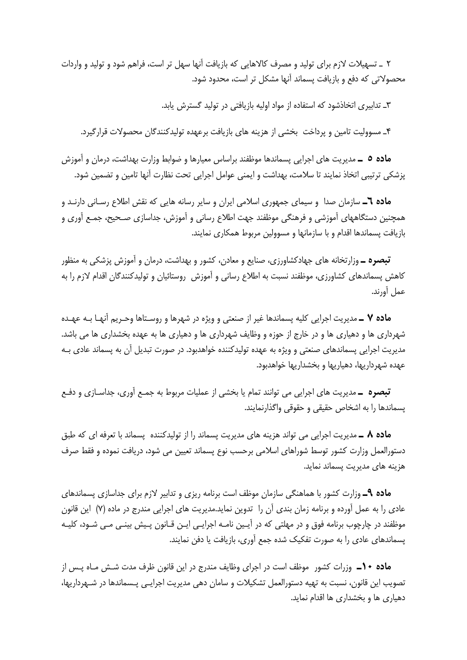۲ \_ تسهیلات لازم برای تولید و مصرف کالاهایی که بازیافت آنها سهل تر است، فراهم شود و تولید و واردات محصولاتی که دفع و بازیافت پسماند آنها مشکل تر است، محدود شود.

۳ـ تدابیری اتخاذشود که استفاده از مواد اولیه بازیافتی در تولید گسترش پابد.

۴\_ مسوولیت تامین و پرداخت بخشی از هزینه های بازیافت برعهده تولیدکنندگان محصولات قرارگیرد.

**ماده ٥ ــ** مديريت هاي اجرايي يسماندها موظفند براساس معيارها و ضوابط وزارت بهداشت، درمان و آموزش پزشکی ترتیبی اتخاذ نمایند تا سلامت، بهداشت و ایمنی عوامل اجرایی تحت نظارت آنها تامین و تضمین شود.

**ماده ٦ــ** سازمان صدا و سیمای جمهوری اسلامی ایران و سایر رسانه هایی که نقش اطلاع رسـانی دارنـد و همچنین دستگاههای آموزشی و فرهنگی موظفند جهت اطلاع رسانی و آموزش، جداسازی صـحیح، جمـع آوری و بازیافت پسماندها اقدام و با سازمانها و مسوولین مربوط همکاری نمایند.

**تبصره ــ** وزارتخانه های جهادکشاورزی، صنایع و معادن، کشور و بهداشت، درمان و آموزش پزشکی به منظور کاهش پسماندهای کشاورزی، موظفند نسبت به اطلاع رسانی و آموزش روستائیان و تولیدکنندگان اقدام لازم را به عمل أورند.

م**اده ۷ ــ** مديريت اجرايي كليه يسماندها غير از صنعتي و ويژه در شهرها و روسـتاها وحـريم آنهـا بــه عهـده شهرداری ها و دهیاری ها و در خارج از حوزه و وظایف شهرداری ها و دهیاری ها به عهده بخشداری ها می باشد. مدیریت اجرایی پسماندهای صنعتی و ویژه به عهده تولیدکننده خواهدبود. در صورت تبدیل آن به پسماند عادی بـه عهده شهرداریها، دهیاریها و بخشداریها خواهدبود.

**تبصره ــ** مدیریت های اجرایی می توانند تمام یا بخشی از عملیات مربوط به جمـع آوری، جداسـازی و دفـع يسماندها را به اشخاص حقيقى و حقوقى واگذارنمايند.

م**اده ۸ ــ** مدیریت اجرایی می تواند هزینه های مدیریت پسماند را از تولیدکننده پسماند با تعرفه ای که طبق دستورالعمل وزارت كشور توسط شوراهاي اسلامي برحسب نوع يسماند تعيين مي شود، دريافت نموده و فقط صرف هزینه های مدیریت پسماند نماید.

**ماده ۹ــ** وزارت کشور با هماهنگی سازمان موظف است برنامه ریزی و تدابیر لازم برای جداسازی پسماندهای عادی را به عمل اورده و برنامه زمان بندی ان را تدوین نماید.مدیریت های اجرایی مندرج در ماده (۷) این قانون موظفند در چارچوب برنامه فوق و در مهلتی که در آیـین نامـه اجرایـی ایـن قــانون پـیش بینـی مـی شــود، کلیــه پسماندهای عادی را به صورت تفکیک شده جمع آوری، بازیافت یا دفن نمایند.

**ماده ۱۰\_** وزرات کشور موظف است در اجرای وظایف مندرج در این قانون ظرف مدت شــش مـاه پــس از تصویب این قانون، نسبت به تهیه دستورالعمل تشکیلات و سامان دهی مدیریت اجرایـی پـسماندها در شـهرداریها، دهیاری ها و بخشداری ها اقدام نماید.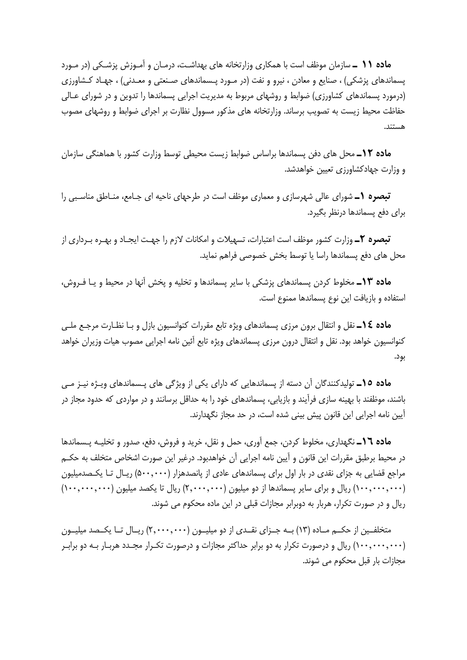ماده ۱۱ ـ سازمان موظف است با همکاری وزارتخانه های بهداشت، درمـان و آمـوزش پزشـکی (در مـورد پسماندهای پزشکی) ، صنایع و معادن ، نیرو و نفت (در مـورد پـسماندهای صـنعتی و معـدنی) ، جهـاد کـشاورزی (درمورد پسماندهای کشاورزی) ضوابط و روشهای مربوط به مدیریت اجرایی پسماندها را تدوین و در شورای عـالی حفاظت محیط زیست به تصویب برساند. وزارتخانه های مذکور مسوول نظارت بر اجرای ضوابط و روشهای مصوب هستند.

**ماده ١٢ـ** محل های دفن پسماندها براساس ضوابط زیست محیطی توسط وزارت کشور با هماهنگی سازمان و وزارت جهادکشاورزی تعیین خواهدشد.

**تبصره (\_** شورای عالی شهرسازی و معماری موظف است در طرحهای ناحیه ای جـامع، منـاطق مناسـبی را برای دفع پسماندها درنظر بگیرد.

**تبصره ۲ــ** وزارت کشور موظف است اعتبارات، تسهیلات و امکانات لازم را جهـت ایجـاد و بهـره بـرداری از محل های دفع یسماندها راسا یا توسط بخش خصوصی فراهم نماید.

م**اده ۱۳ـ** مخلوط کردن پسماندهای پزشکی با سایر پسماندها و تخلیه و پخش آنها در محیط و یـا فـروش، استفاده و بازیافت این نوع پسماندها ممنوع است.

م**اده ١٤ــ** نقل و انتقال برون مرزى پسماندهاى ويژه تابع مقررات كنوانسيون بازل و بـا نظـارت مرجـع ملــي کنوانسیون خواهد بود. نقل و انتقال درون مرزی پسماندهای ویژه تابع آئین نامه اجرایی مصوب هیات وزیران خواهد بود.

**ماده ۱۵ـ** تولیدکنندگان آن دسته از پسماندهایی که دارای یکی از ویژگی های پـسماندهای ویـژه نیـز مـی باشند، موظفند با بهینه سازی فرآیند و بازیابی، پسماندهای خود را به حداقل برسانند و در مواردی که حدود مجاز در أيين نامه اجرايي اين قانون پيش بيني شده است، در حد مجاز نگهدارند.

ماده ١٦ـ نگهداري، مخلوط كردن، جمع آوري، حمل و نقل، خريد و فروش، دفع، صدور و تخليـه پـسماندها در محيط برطبق مقررات اين قانون و آيين نامه اجرايي آن خواهدبود. درغير اين صورت اشخاص متخلف به حكـم مراجع قضایی به جزای نقدی در بار اول برای پسماندهای عادی از پانصدهزار (۵۰۰٬۰۰۰) ریـال تـا یکـصدمیلیون (۱۰۰٬۰۰۰٬۰۰۰) ریال و برای سایر پسماندها از دو میلیون (۲٫۰۰۰٬۰۰۰) ریال تا یکصد میلیون (۱۰۰٬۰۰۰٬۰۰۰) ریال و در صورت تکرار، هربار به دوبرابر مجازات قبلی در این ماده محکوم می شوند.

متخلفـین از حکــم مــاده (۱۳) بــه جــزای نقــدی از دو میلیــون (۲٫۰۰۰٫۰۰۰) ریــال تــا یکــصد میلیــون (۱۰۰٬۰۰۰٬۰۰۰) ریال و درصورت تکرار به دو برابر حداکثر مجازات و درصورت تکـرار مجـدد هربـار بـه دو برابـر مجازات بار قبل محکوم می شوند.